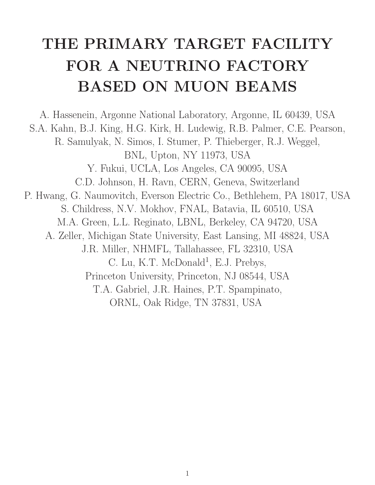## **THE PRIMARY TARGET FACILITY FOR A NEUTRINO FACTORY BASED ON MUON BEAMS**

A. Hassenein, Argonne National Laboratory, Argonne, IL 60439, USA S.A. Kahn, B.J. King, H.G. Kirk, H. Ludewig, R.B. Palmer, C.E. Pearson, R. Samulyak, N. Simos, I. Stumer, P. Thieberger, R.J. Weggel, BNL, Upton, NY 11973, USA Y. Fukui, UCLA, Los Angeles, CA 90095, USA C.D. Johnson, H. Ravn, CERN, Geneva, Switzerland P. Hwang, G. Naumovitch, Everson Electric Co., Bethlehem, PA 18017, USA S. Childress, N.V. Mokhov, FNAL, Batavia, IL 60510, USA M.A. Green, L.L. Reginato, LBNL, Berkeley, CA 94720, USA A. Zeller, Michigan State University, East Lansing, MI 48824, USA J.R. Miller, NHMFL, Tallahassee, FL 32310, USA C. Lu, K.T. McDonald<sup>1</sup>, E.J. Prebys, Princeton University, Princeton, NJ 08544, USA T.A. Gabriel, J.R. Haines, P.T. Spampinato, ORNL, Oak Ridge, TN 37831, USA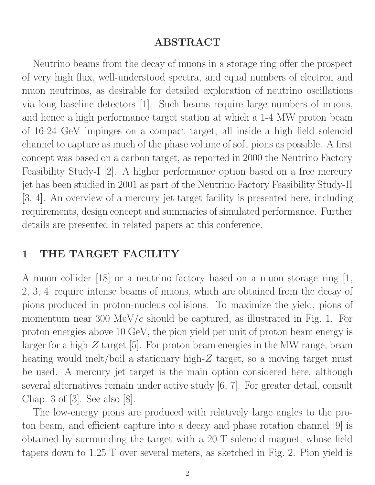## **ABSTRACT**

Neutrino beams from the decay of muons in a storage ring offer the prospect of very high flux, well-understood spectra, and equal numbers of electron and muon neutrinos, as desirable for detailed exploration of neutrino oscillations via long baseline detectors [1]. Such beams require large numbers of muons, and hence a high performance target station at which a 1-4 MW proton beam of 16-24 GeV impinges on a compact target, all inside a high field solenoid channel to capture as much of the phase volume of soft pions as possible. A first concept was based on a carbon target, as reported in 2000 the Neutrino Factory Feasibility Study-I [2]. A higher performance option based on a free mercury jet has been studied in 2001 as part of the Neutrino Factory Feasibility Study-II [3, 4]. An overview of a mercury jet target facility is presented here, including requirements, design concept and summaries of simulated performance. Further details are presented in related papers at this conference.

## **1 THE TARGET FACILITY**

A muon collider [18] or a neutrino factory based on a muon storage ring [1, 2, 3, 4] require intense beams of muons, which are obtained from the decay of pions produced in proton-nucleus collisions. To maximize the yield, pions of momentum near 300 MeV/*c* should be captured, as illustrated in Fig. 1. For proton energies above 10 GeV, the pion yield per unit of proton beam energy is larger for a high-*Z* target [5]. For proton beam energies in the MW range, beam heating would melt/boil a stationary high-Z target, so a moving target must be used. A mercury jet target is the main option considered here, although several alternatives remain under active study [6, 7]. For greater detail, consult Chap. 3 of [3]. See also [8].

The low-energy pions are produced with relatively large angles to the proton beam, and efficient capture into a decay and phase rotation channel [9] is obtained by surrounding the target with a 20-T solenoid magnet, whose field tapers down to 1.25 T over several meters, as sketched in Fig. 2. Pion yield is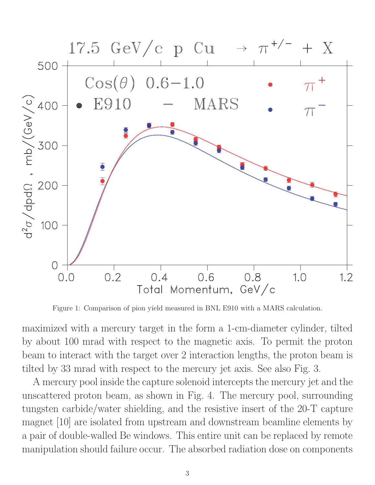

Figure 1: Comparison of pion yield measured in BNL E910 with a MARS calculation.

maximized with a mercury target in the form a 1-cm-diameter cylinder, tilted by about 100 mrad with respect to the magnetic axis. To permit the proton beam to interact with the target over 2 interaction lengths, the proton beam is tilted by 33 mrad with respect to the mercury jet axis. See also Fig. 3.

A mercury pool inside the capture solenoid intercepts the mercury jet and the unscattered proton beam, as shown in Fig. 4. The mercury pool, surrounding tungsten carbide/water shielding, and the resistive insert of the 20-T capture magnet [10] are isolated from upstream and downstream beamline elements by a pair of double-walled Be windows. This entire unit can be replaced by remote manipulation should failure occur. The absorbed radiation dose on components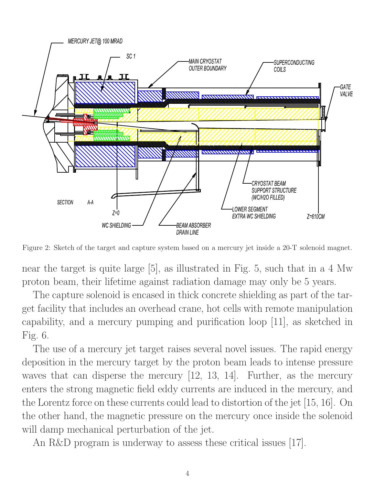

Figure 2: Sketch of the target and capture system based on a mercury jet inside a 20-T solenoid magnet.

near the target is quite large [5], as illustrated in Fig. 5, such that in a 4 Mw proton beam, their lifetime against radiation damage may only be 5 years.

The capture solenoid is encased in thick concrete shielding as part of the target facility that includes an overhead crane, hot cells with remote manipulation capability, and a mercury pumping and purification loop [11], as sketched in Fig. 6.

The use of a mercury jet target raises several novel issues. The rapid energy deposition in the mercury target by the proton beam leads to intense pressure waves that can disperse the mercury [12, 13, 14]. Further, as the mercury enters the strong magnetic field eddy currents are induced in the mercury, and the Lorentz force on these currents could lead to distortion of the jet [15, 16]. On the other hand, the magnetic pressure on the mercury once inside the solenoid will damp mechanical perturbation of the jet.

An R&D program is underway to assess these critical issues [17].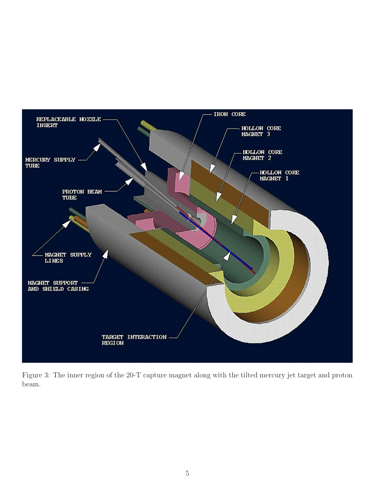

Figure 3: The inner region of the 20-T capture magnet along with the tilted mercury jet target and proton beam.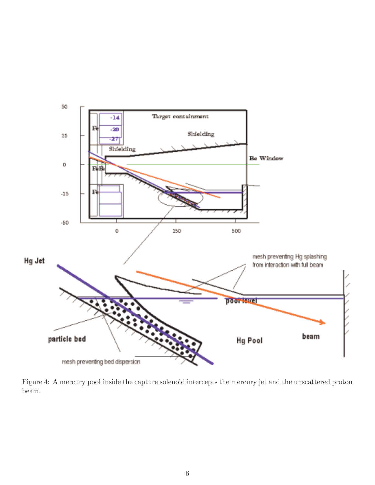

Figure 4: A mercury pool inside the capture solenoid intercepts the mercury jet and the unscattered proton beam.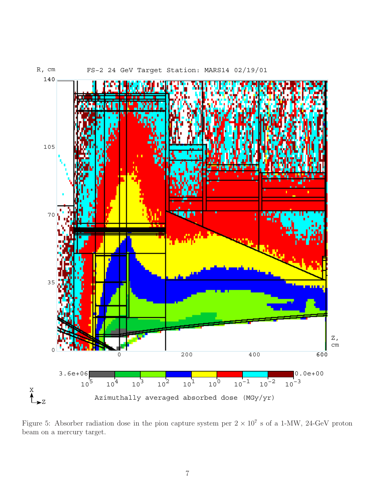

Figure 5: Absorber radiation dose in the pion capture system per  $2 \times 10^7$  s of a 1-MW, 24-GeV proton beam on a mercury target.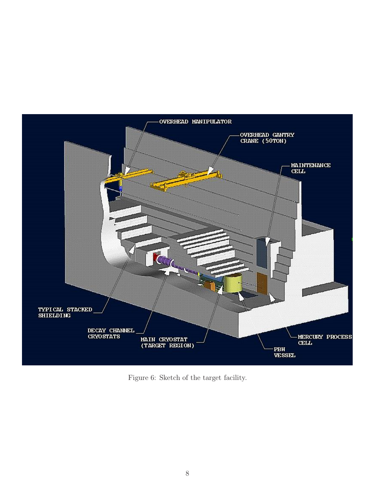

Figure 6: Sketch of the target facility.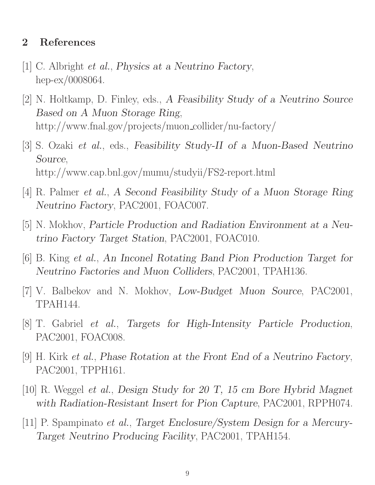## **2 References**

- [1] C. Albright *et al.*, *Physics at a Neutrino Factory*, hep-ex/0008064.
- [2] N. Holtkamp, D. Finley, eds., *A Feasibility Study of a Neutrino Source Based on A Muon Storage Ring*, http://www.fnal.gov/projects/muon collider/nu-factory/
- [3] S. Ozaki *et al.*, eds., *Feasibility Study-II of a Muon-Based Neutrino Source*, http://www.cap.bnl.gov/mumu/studyii/FS2-report.html
- [4] R. Palmer *et al.*, *A Second Feasibility Study of a Muon Storage Ring Neutrino Factory*, PAC2001, FOAC007.
- [5] N. Mokhov, *Particle Production and Radiation Environment at a Neutrino Factory Target Station*, PAC2001, FOAC010.
- [6] B. King *et al.*, *An Inconel Rotating Band Pion Production Target for Neutrino Factories and Muon Colliders*, PAC2001, TPAH136.
- [7] V. Balbekov and N. Mokhov, *Low-Budget Muon Source*, PAC2001, TPAH144.
- [8] T. Gabriel *et al.*, *Targets for High-Intensity Particle Production*, PAC2001, FOAC008.
- [9] H. Kirk *et al.*, *Phase Rotation at the Front End of a Neutrino Factory*, PAC2001, TPPH161.
- [10] R. Weggel *et al.*, *Design Study for 20 T, 15 cm Bore Hybrid Magnet with Radiation-Resistant Insert for Pion Capture*, PAC2001, RPPH074.
- [11] P. Spampinato *et al.*, *Target Enclosure/System Design for a Mercury-Target Neutrino Producing Facility*, PAC2001, TPAH154.